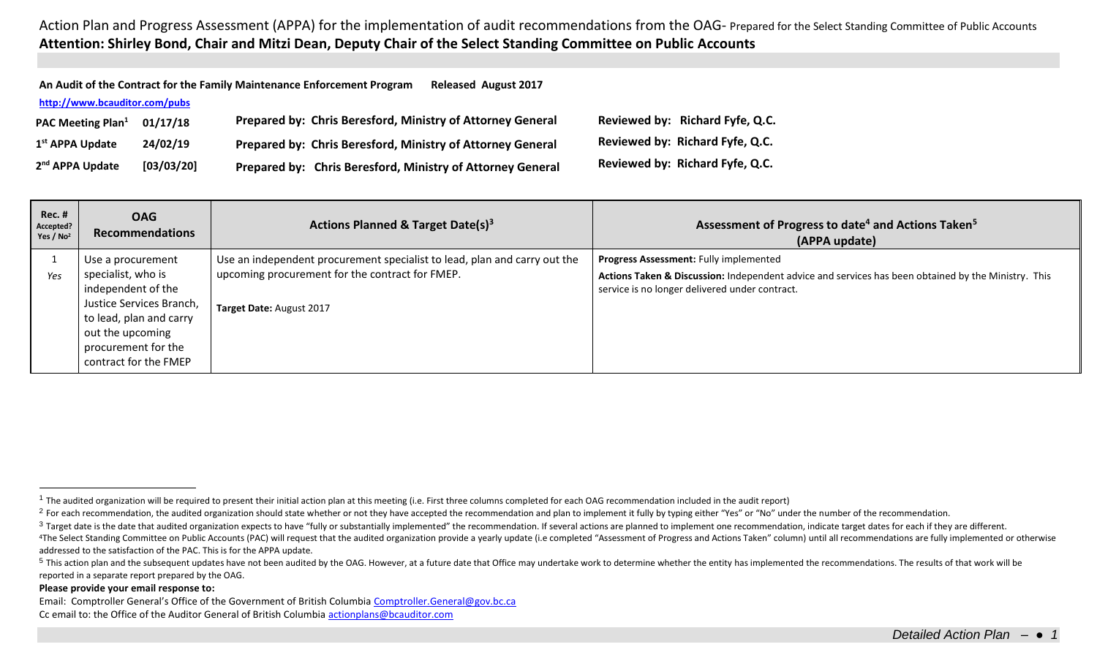Action Plan and Progress Assessment (APPA) for the implementation of audit recommendations from the OAG- Prepared for the Select Standing Committee of Public Accounts **Attention: Shirley Bond, Chair and Mitzi Dean, Deputy Chair of the Select Standing Committee on Public Accounts**

| An Audit of the Contract for the Family Maintenance Enforcement Program<br><b>Released August 2017</b> |            |                                                            |  |                                 |  |  |
|--------------------------------------------------------------------------------------------------------|------------|------------------------------------------------------------|--|---------------------------------|--|--|
| http://www.bcauditor.com/pubs                                                                          |            |                                                            |  |                                 |  |  |
| <b>PAC Meeting Plan</b> <sup>1</sup>                                                                   | 01/17/18   | Prepared by: Chris Beresford, Ministry of Attorney General |  | Reviewed by: Richard Fyfe, Q.C. |  |  |
| 1 <sup>st</sup> APPA Update                                                                            | 24/02/19   | Prepared by: Chris Beresford, Ministry of Attorney General |  | Reviewed by: Richard Fyfe, Q.C. |  |  |
| 2 <sup>nd</sup> APPA Update                                                                            | [03/03/20] | Prepared by: Chris Beresford, Ministry of Attorney General |  | Reviewed by: Richard Fyfe, Q.C. |  |  |

| $Rec.$ #<br>Accepted?<br>Yes / $No2$ | <b>OAG</b><br><b>Recommendations</b> | Actions Planned & Target Date(s) <sup>3</sup>                             | Assessment of Progress to date <sup>4</sup> and Actions Taken <sup>5</sup><br>(APPA update)         |
|--------------------------------------|--------------------------------------|---------------------------------------------------------------------------|-----------------------------------------------------------------------------------------------------|
|                                      | Use a procurement                    | Use an independent procurement specialist to lead, plan and carry out the | Progress Assessment: Fully implemented                                                              |
| Yes                                  | specialist, who is                   | upcoming procurement for the contract for FMEP.                           | Actions Taken & Discussion: Independent advice and services has been obtained by the Ministry. This |
|                                      | independent of the                   |                                                                           | service is no longer delivered under contract.                                                      |
|                                      | Justice Services Branch,             | Target Date: August 2017                                                  |                                                                                                     |
|                                      | to lead, plan and carry              |                                                                           |                                                                                                     |
|                                      | out the upcoming                     |                                                                           |                                                                                                     |
|                                      | procurement for the                  |                                                                           |                                                                                                     |
|                                      | contract for the FMEP                |                                                                           |                                                                                                     |

## **Please provide your email response to:**

 $\overline{a}$ 

Email: Comptroller General's Office of the Government of British Columbia [Comptroller.General@gov.bc.ca](mailto:Comptroller.General@gov.bc.ca) Cc email to: the Office of the Auditor General of British Columbi[a actionplans@bcauditor.com](mailto:actionplans@bcauditor.com)

 $1$  The audited organization will be required to present their initial action plan at this meeting (i.e. First three columns completed for each OAG recommendation included in the audit report)

<sup>&</sup>lt;sup>2</sup> For each recommendation, the audited organization should state whether or not they have accepted the recommendation and plan to implement it fully by typing either "Yes" or "No" under the number of the recommendation.

<sup>&</sup>lt;sup>3</sup> Target date is the date that audited organization expects to have "fully or substantially implemented" the recommendation. If several actions are planned to implement one recommendation, indicate target dates for each

<sup>&</sup>lt;sup>4</sup>The Select Standing Committee on Public Accounts (PAC) will request that the audited organization provide a yearly update (i.e completed "Assessment of Progress and Actions Taken" column) until all recommendations are f addressed to the satisfaction of the PAC. This is for the APPA update.

<sup>&</sup>lt;sup>5</sup> This action plan and the subsequent updates have not been audited by the OAG. However, at a future date that Office may undertake work to determine whether the entity has implemented the recommendations. The results of reported in a separate report prepared by the OAG.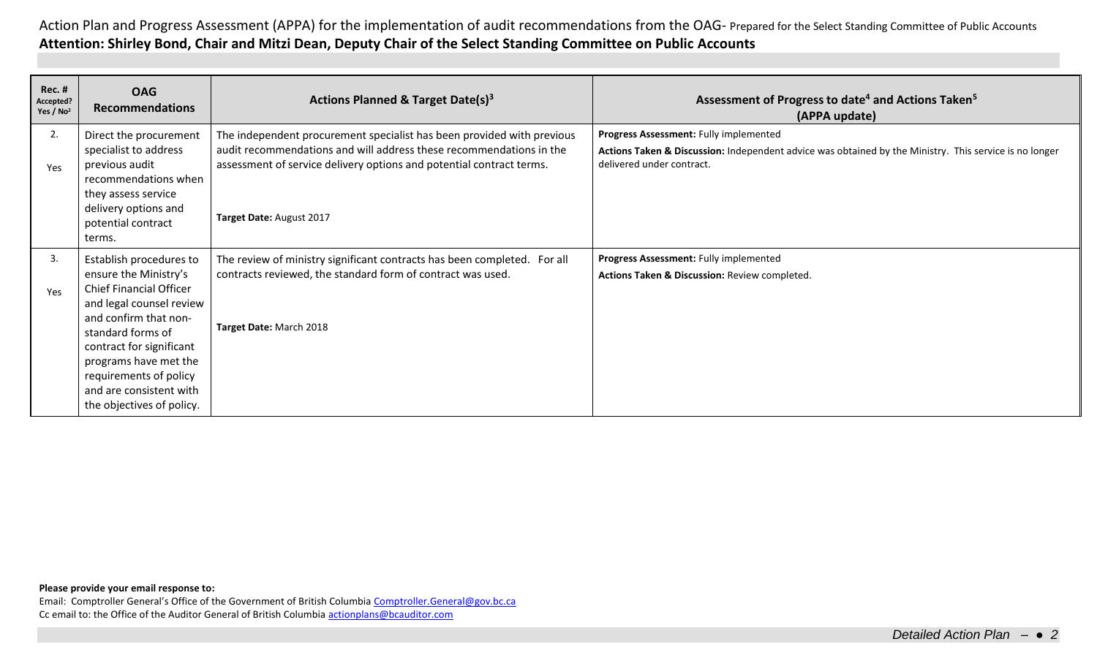Action Plan and Progress Assessment (APPA) for the implementation of audit recommendations from the OAG- Prepared for the Select Standing Committee of Public Accounts **Attention: Shirley Bond, Chair and Mitzi Dean, Deputy Chair of the Select Standing Committee on Public Accounts**

| <b>Rec. #</b><br>Accepted?<br>Yes $/$ No <sup>2</sup> | <b>OAG</b><br><b>Recommendations</b>                                                                                                                                                                                                        | Actions Planned & Target Date(s) <sup>3</sup>                                                                                                                                                                                                     | Assessment of Progress to date <sup>4</sup> and Actions Taken <sup>5</sup><br>(APPA update)                                                                                   |
|-------------------------------------------------------|---------------------------------------------------------------------------------------------------------------------------------------------------------------------------------------------------------------------------------------------|---------------------------------------------------------------------------------------------------------------------------------------------------------------------------------------------------------------------------------------------------|-------------------------------------------------------------------------------------------------------------------------------------------------------------------------------|
| 2.<br>Yes                                             | Direct the procurement<br>specialist to address<br>previous audit<br>recommendations when<br>they assess service<br>delivery options and<br>potential contract                                                                              | The independent procurement specialist has been provided with previous<br>audit recommendations and will address these recommendations in the<br>assessment of service delivery options and potential contract terms.<br>Target Date: August 2017 | Progress Assessment: Fully implemented<br>Actions Taken & Discussion: Independent advice was obtained by the Ministry. This service is no longer<br>delivered under contract. |
|                                                       | terms.                                                                                                                                                                                                                                      |                                                                                                                                                                                                                                                   |                                                                                                                                                                               |
| 3.<br>Yes                                             | Establish procedures to<br>ensure the Ministry's<br><b>Chief Financial Officer</b><br>and legal counsel review<br>and confirm that non-<br>standard forms of<br>contract for significant<br>programs have met the<br>requirements of policy | The review of ministry significant contracts has been completed. For all<br>contracts reviewed, the standard form of contract was used.<br>Target Date: March 2018                                                                                | Progress Assessment: Fully implemented<br>Actions Taken & Discussion: Review completed.                                                                                       |
|                                                       | and are consistent with<br>the objectives of policy.                                                                                                                                                                                        |                                                                                                                                                                                                                                                   |                                                                                                                                                                               |

## **Please provide your email response to:**

Email: Comptroller General's Office of the Government of British Columbia [Comptroller.General@gov.bc.ca](mailto:Comptroller.General@gov.bc.ca) Cc email to: the Office of the Auditor General of British Columbi[a actionplans@bcauditor.com](mailto:actionplans@bcauditor.com)